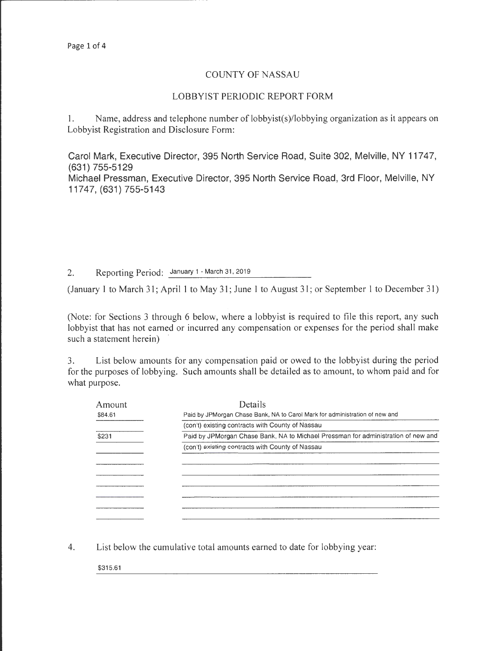r------------------ - ---- ----

## COUNTY OF NASSAU

## LOBBYIST PERIODIC REPORT FORM

1. Name, address and telephone number of lobbyist(s)/lobbying organization as it appears on Lobbyist Registration and Disclosure Form:

Carol Mark, Executive Director, 395 North Service Road, Suite 302, Melville, NY 11747, (631) 755-5129

Michael Pressman, Executive Director, 395 North Service Road, 3rd Floor, Melville, NY 11747, (631) 755-5143

2. Reporting Period: January 1 - March 31, 2019

(January I to March 31; April 1 to May 31; June I to August 31; or September 1 to December 31)

(Note: for Sections 3 through 6 below, where a lobbyist is required to file this report, any such lobbyist that has not earned or incurred any compensation or expenses for the period shall make such a statement herein)

3. List below amounts for any compensation paid or owed to the lobbyist during the period for the purposes of lobbying. Such amounts shall be detailed as to amount, to whom paid and for what purpose.

| Amount  | Details                                                                           |
|---------|-----------------------------------------------------------------------------------|
| \$84.61 | Paid by JPMorgan Chase Bank, NA to Carol Mark for administration of new and       |
|         | (con't) existing contracts with County of Nassau                                  |
| \$231   | Paid by JPMorgan Chase Bank, NA to Michael Pressman for administration of new and |
|         | (con't) existing contracts with County of Nassau                                  |
|         |                                                                                   |
|         |                                                                                   |
|         |                                                                                   |
|         |                                                                                   |
|         |                                                                                   |
|         |                                                                                   |

4. List below the cumulative total amounts earned to date for lobbying year:

\$315.61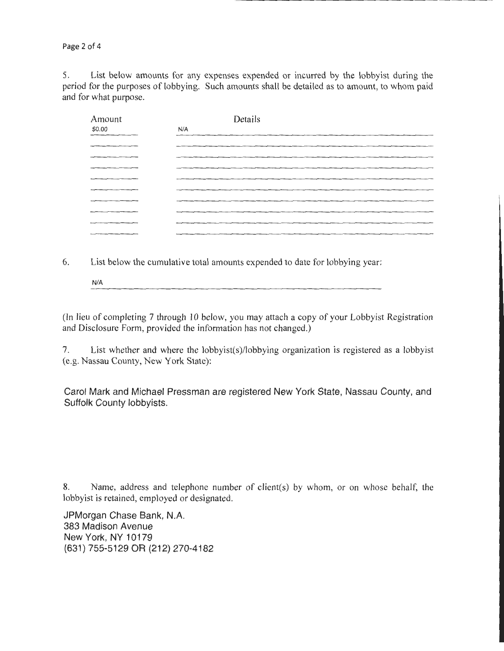Page 2 of 4

5. List below amounts for any expenses expended or incurred by the lobbyist during the period for the purposes of lobbying. Such amounts shall be detailed as to amount, to whom paid and for what purpose.

| Amount                                             | Details |
|----------------------------------------------------|---------|
| \$0.00                                             | N/A     |
|                                                    |         |
|                                                    |         |
|                                                    |         |
|                                                    |         |
| ______                                             |         |
|                                                    |         |
|                                                    |         |
|                                                    |         |
|                                                    |         |
| <b>STATISTICS</b> IN CONTINUES IN THE CONTINUES OF |         |

6. List below the cumulative total amounts expended to date for lobbying year:

N/A

(In lieu of completing 7 through 10 below, you may attach a copy of your Lobbyist Registration and Disclosure Form, provided the information has not changed.)

7. List whether and where the lobbyist(s)/lobbying organization is registered as a lobbyist (e.g. Nassau County, New York State):

Carol Mark and Michael Pressman are registered New York State, Nassau County, and Suffolk County lobbyists.

8. Name, address and telephone number of client(s) by whom, or on whose behalf, the lobbyist is retained, employed or designated.

JPMorgan Chase Bank, N.A. 383 Madison Avenue New York, NY 10179 (631) 755-5129 OR (212) 270-4182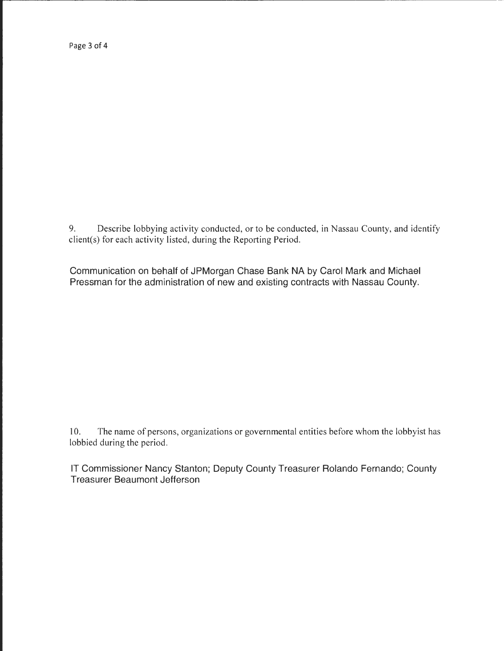9. Describe lobbying activity conducted, or to be conducted, in Nassau County, and identify client(s) for each activity listed, during the Reporting Period.

Communication on behalf of JPMorgan Chase Bank NA by Carol Mark and Michael Pressman for the administration of new and existing contracts with Nassau County.

10. The name of persons, organizations or governmental entities before whom the lobbyist has lobbied during the period.

IT Commissioner Nancy Stanton; Deputy County Treasurer Rolando Fernando; County Treasurer Beaumont Jefferson